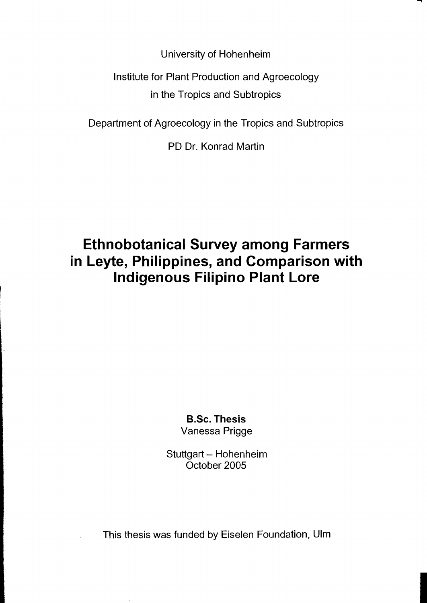University of Hohenheim

Institute for Plant Production and Agroecology in the Tropics and Subtropics

Department of Agroecology in the Tropics and Subtropics

PD Dr. Konrad Martin

## **Ethnobotanical Survey among Farmers in Leyte, Philippines, and Comparison with Indigenous Filipino Plant Lore**

**B.Se. Thesis**  Vanessa Prigge

Stuttgart - Hohenheim Oetober 2005

This thesis was funded by Eiselen Foundation, Ulm